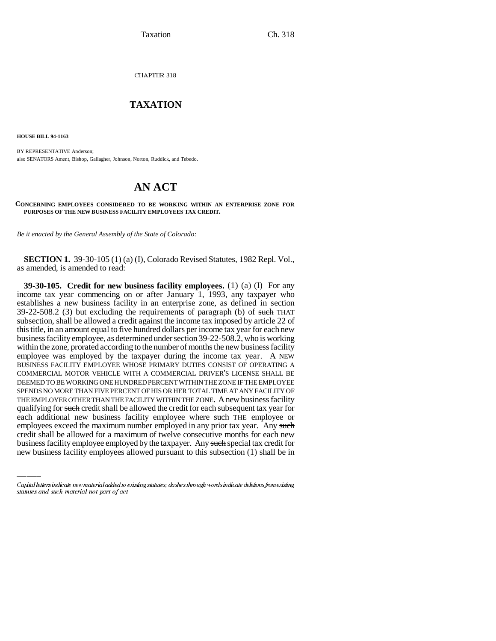Taxation Ch. 318

CHAPTER 318

## \_\_\_\_\_\_\_\_\_\_\_\_\_\_\_ **TAXATION** \_\_\_\_\_\_\_\_\_\_\_\_\_\_\_

**HOUSE BILL 94-1163**

BY REPRESENTATIVE Anderson; also SENATORS Ament, Bishop, Gallagher, Johnson, Norton, Ruddick, and Tebedo.

## **AN ACT**

## **CONCERNING EMPLOYEES CONSIDERED TO BE WORKING WITHIN AN ENTERPRISE ZONE FOR PURPOSES OF THE NEW BUSINESS FACILITY EMPLOYEES TAX CREDIT.**

*Be it enacted by the General Assembly of the State of Colorado:*

**SECTION 1.** 39-30-105 (1) (a) (I), Colorado Revised Statutes, 1982 Repl. Vol., as amended, is amended to read:

each additional new business facility employee where such THE employee or **39-30-105. Credit for new business facility employees.** (1) (a) (I) For any income tax year commencing on or after January 1, 1993, any taxpayer who establishes a new business facility in an enterprise zone, as defined in section 39-22-508.2 (3) but excluding the requirements of paragraph (b) of such THAT subsection, shall be allowed a credit against the income tax imposed by article 22 of this title, in an amount equal to five hundred dollars per income tax year for each new business facility employee, as determined under section 39-22-508.2, who is working within the zone, prorated according to the number of months the new business facility employee was employed by the taxpayer during the income tax year. A NEW BUSINESS FACILITY EMPLOYEE WHOSE PRIMARY DUTIES CONSIST OF OPERATING A COMMERCIAL MOTOR VEHICLE WITH A COMMERCIAL DRIVER'S LICENSE SHALL BE DEEMED TO BE WORKING ONE HUNDRED PERCENT WITHIN THE ZONE IF THE EMPLOYEE SPENDS NO MORE THAN FIVE PERCENT OF HIS OR HER TOTAL TIME AT ANY FACILITY OF THE EMPLOYER OTHER THAN THE FACILITY WITHIN THE ZONE. A new business facility qualifying for such credit shall be allowed the credit for each subsequent tax year for employees exceed the maximum number employed in any prior tax year. Any such credit shall be allowed for a maximum of twelve consecutive months for each new business facility employee employed by the taxpayer. Any such special tax credit for new business facility employees allowed pursuant to this subsection (1) shall be in

Capital letters indicate new material added to existing statutes; dashes through words indicate deletions from existing statutes and such material not part of act.